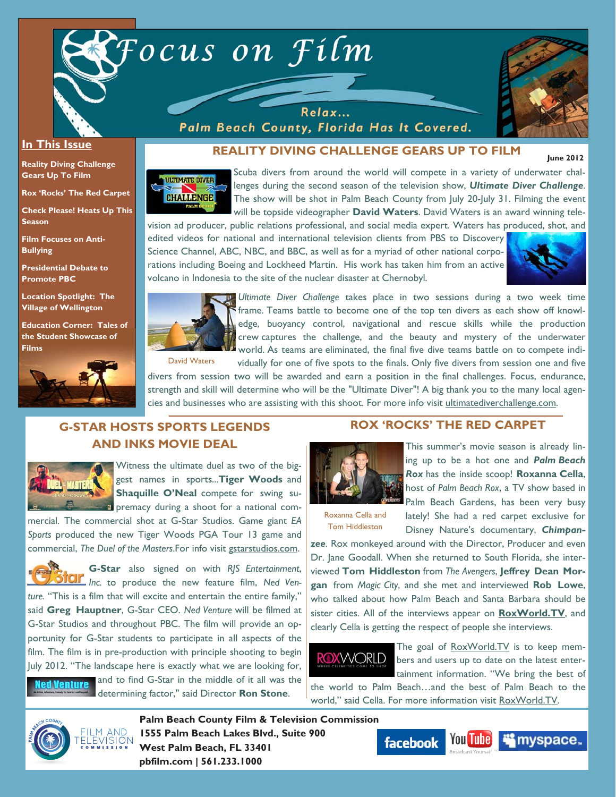

Relax... Palm Beach County, Florida Has It Covered.



 **June 2012** 

#### **In This Issue**

**Reality Diving Challenge Gears Up To Film** 

**Rox 'Rocks' The Red Carpet** 

**Check Please! Heats Up This Season** 

**Film Focuses on Anti-Bullying** 

**Presidential Debate to Promote PBC** 

**Location Spotlight: The Village of Wellington** 

**Education Corner: Tales of the Student Showcase of Films**



## **REALITY DIVING CHALLENGE GEARS UP TO FILM**

**ULTIMATE DIVER CHALLENGE** 

Scuba divers from around the world will compete in a variety of underwater challenges during the second season of the television show, *Ultimate Diver Challenge*. The show will be shot in Palm Beach County from July 20-July 31. Filming the event will be topside videographer **David Waters**. David Waters is an award winning tele-

vision ad producer, public relations professional, and social media expert. Waters has produced, shot, and edited videos for national and international television clients from PBS to Discovery Science Channel, ABC, NBC, and BBC, as well as for a myriad of other national corporations including Boeing and Lockheed Martin. His work has taken him from an active volcano in Indonesia to the site of the nuclear disaster at Chernobyl.





*Ultimate Diver Challenge* takes place in two sessions during a two week time frame. Teams battle to become one of the top ten divers as each show off knowledge, buoyancy control, navigational and rescue skills while the production crew captures the challenge, and the beauty and mystery of the underwater world. As teams are eliminated, the final five dive teams battle on to compete individually for one of five spots to the finals. Only five divers from session one and five

divers from session two will be awarded and earn a position in the final challenges. Focus, endurance, strength and skill will determine who will be the "Ultimate Diver"! A big thank you to the many local agencies and businesses who are assisting with this shoot. For more info visit ultimatediverchallenge.com.

# **G-STAR HOSTS SPORTS LEGENDS AND INKS MOVIE DEAL**



Witness the ultimate duel as two of the biggest names in sports...**Tiger Woods** and **Shaquille O'Neal** compete for swing su-**Permacy during a shoot for a national com-**

mercial. The commercial shot at G-Star Studios. Game giant *EA Sports* produced the new Tiger Woods PGA Tour 13 game and commercial, *The Duel of the Masters*.For info visit gstarstudios.com.





and to find G-Star in the middle of it all was the determining factor," said Director **Ron Stone**.

#### **ROX 'ROCKS' THE RED CARPET**



This summer's movie season is already lining up to be a hot one and *Palm Beach Rox* has the inside scoop! **Roxanna Cella**, host of *Palm Beach Rox*, a TV show based in Palm Beach Gardens, has been very busy lately! She had a red carpet exclusive for Disney Nature's documentary, *Chimpan-*

Roxanna Cella and Tom Hiddleston

*zee*. Rox monkeyed around with the Director, Producer and even Dr. Jane Goodall. When she returned to South Florida, she interviewed **Tom Hiddleston** from *The Avengers*, **Jeffrey Dean Morgan** from *Magic City*, and she met and interviewed **Rob Lowe**, who talked about how Palm Beach and Santa Barbara should be sister cities. All of the interviews appear on **RoxWorld.TV**, and clearly Cella is getting the respect of people she interviews.

# **ROXWORLD**

The goal of RoxWorld.TV is to keep members and users up to date on the latest entertainment information. "We bring the best of

the world to Palm Beach…and the best of Palm Beach to the world," said Cella. For more information visit RoxWorld.TV.



**Palm Beach County Film & Television Commission 1555 Palm Beach Lakes Blvd., Suite 900 West Palm Beach, FL 33401 pbfilm.com | 561.233.1000** 



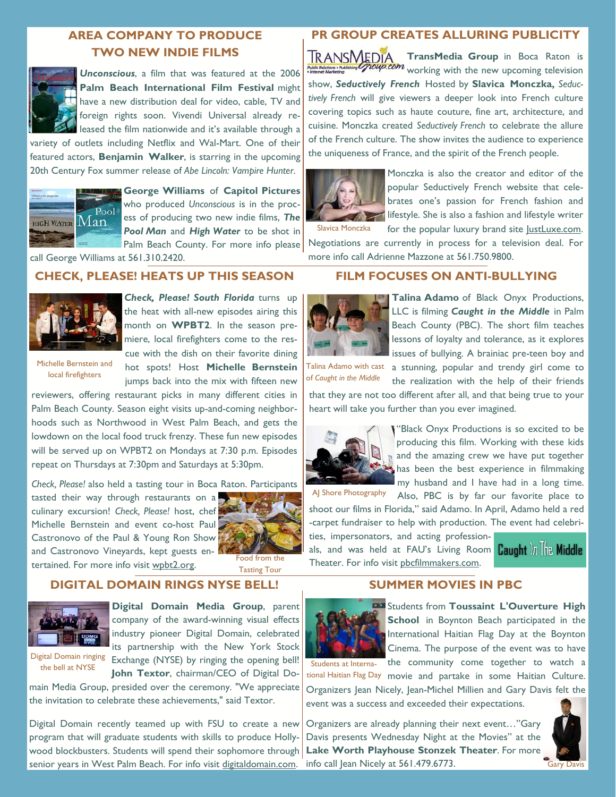# **AREA COMPANY TO PRODUCE TWO NEW INDIE FILMS**



*Unconscious*, a film that was featured at the 2006 **Palm Beach International Film Festival** might have a new distribution deal for video, cable, TV and foreign rights soon. Vivendi Universal already released the film nationwide and it's available through a

variety of outlets including Netflix and Wal-Mart. One of their featured actors, **Benjamin Walker**, is starring in the upcoming 20th Century Fox summer release of *Abe Lincoln: Vampire Hunter*.



**George Williams** of **Capitol Pictures** who produced *Unconscious* is in the process of producing two new indie films, *The Pool Man* and *High Water* to be shot in Palm Beach County. For more info please

call George Williams at 561.310.2420.

#### **CHECK, PLEASE! HEATS UP THIS SEASON**



*Check, Please! South Florida* turns up the heat with all-new episodes airing this month on **WPBT2**. In the season premiere, local firefighters come to the rescue with the dish on their favorite dining hot spots! Host **Michelle Bernstein**  jumps back into the mix with fifteen new

Michelle Bernstein and local firefighters

reviewers, offering restaurant picks in many different cities in Palm Beach County. Season eight visits up-and-coming neighborhoods such as Northwood in West Palm Beach, and gets the lowdown on the local food truck frenzy. These fun new episodes will be served up on WPBT2 on Mondays at 7:30 p.m. Episodes repeat on Thursdays at 7:30pm and Saturdays at 5:30pm.

*Check, Please!* also held a tasting tour in Boca Raton. Participants

tasted their way through restaurants on a culinary excursion! *Check, Please!* host, chef Michelle Bernstein and event co-host Paul Castronovo of the Paul & Young Ron Show and Castronovo Vineyards, kept guests entertained. For more info visit wpbt2.org.



Food from the Tasting Tour

## **DIGITAL DOMAIN RINGS NYSE BELL!**



**Digital Domain Media Group**, parent company of the award-winning visual effects industry pioneer Digital Domain, celebrated its partnership with the New York Stock Exchange (NYSE) by ringing the opening bell!

**John Textor**, chairman/CEO of Digital Dothe bell at NYSE

main Media Group, presided over the ceremony. "We appreciate the invitation to celebrate these achievements," said Textor.

Digital Domain recently teamed up with FSU to create a new program that will graduate students with skills to produce Hollywood blockbusters. Students will spend their sophomore through senior years in West Palm Beach. For info visit digitaldomain.com.

# **PR GROUP CREATES ALLURING PUBLICITY**

**TransMedia Group** in Boca Raton is working with the new upcoming television show, *Seductively French* Hosted by **Slavica Monczka,** *Seductively French* will give viewers a deeper look into French culture covering topics such as haute couture, fine art, architecture, and cuisine. Monczka created *Seductively French* to celebrate the allure of the French culture. The show invites the audience to experience the uniqueness of France, and the spirit of the French people.



Monczka is also the creator and editor of the popular Seductively French website that celebrates one's passion for French fashion and **lifestyle.** She is also a fashion and lifestyle writer for the popular luxury brand site JustLuxe.com.

Negotiations are currently in process for a television deal. For more info call Adrienne Mazzone at 561.750.9800.

### **FILM FOCUSES ON ANTI-BULLYING**



**Talina Adamo** of Black Onyx Productions, LLC is filming *Caught in the Middle* in Palm Beach County (PBC). The short film teaches lessons of loyalty and tolerance, as it explores issues of bullying. A brainiac pre-teen boy and

Talina Adamo with cast of *Caught in the Middle*

a stunning, popular and trendy girl come to the realization with the help of their friends

that they are not too different after all, and that being true to your heart will take you further than you ever imagined.



"Black Onyx Productions is so excited to be producing this film. Working with these kids and the amazing crew we have put together has been the best experience in filmmaking my husband and I have had in a long time. Also, PBC is by far our favorite place to

AJ Shore Photography

shoot our films in Florida," said Adamo. In April, Adamo held a red -carpet fundraiser to help with production. The event had celebrities, impersonators, and acting profession-

als, and was held at FAU's Living Room **Caught** il all Theater. For info visit pbcfilmmakers.com.





**EXT** Students from **Toussaint L'Ouverture High School** in Boynton Beach participated in the International Haitian Flag Day at the Boynton Cinema. The purpose of the event was to have

Students at Interna- the community come together to watch a tional Haitian Flag Day movie and partake in some Haitian Culture. Organizers Jean Nicely, Jean-Michel Millien and Gary Davis felt the event was a success and exceeded their expectations.

Organizers are already planning their next event…"Gary Davis presents Wednesday Night at the Movies" at the **Lake Worth Playhouse Stonzek Theater**. For more info call Jean Nicely at 561.479.6773.

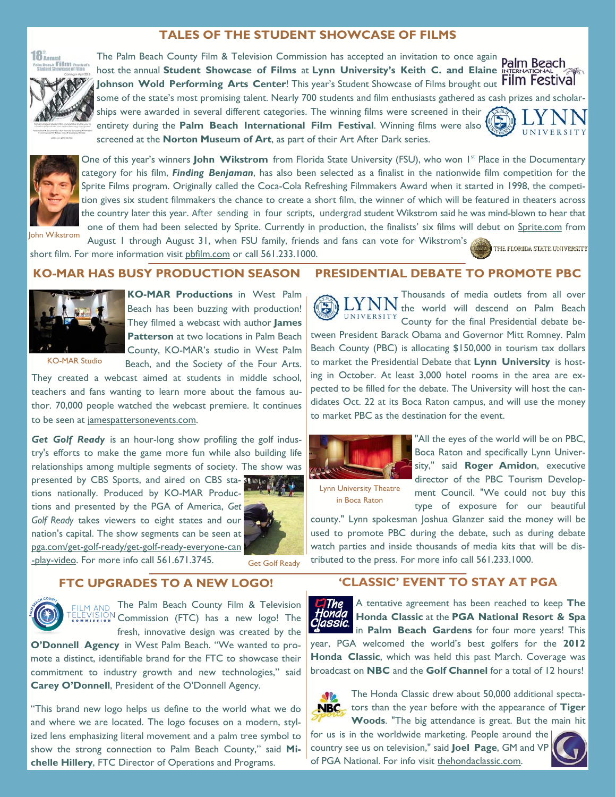#### **TALES OF THE STUDENT SHOWCASE OF FILMS**





The Palm Beach County Film & Television Commission has accepted an invitation to once again **Palm Beach** host the annual **Student Showcase of Films** at **Lynn University's Keith C. and Elaine**  Johnson Wold Performing Arts Center! This year's Student Showcase of Films brought out Film Festival

UNIVERSIT



some of the state's most promising talent. Nearly 700 students and film enthusiasts gathered as cash prizes and scholarships were awarded in several different categories. The winning films were screened in their entirety during the **Palm Beach International Film Festival**. Winning films were also

screened at the **Norton Museum of Art**, as part of their Art After Dark series.



One of this year's winners **John Wikstrom** from Florida State University (FSU), who won 1<sup>st</sup> Place in the Documentary category for his film, *Finding Benjaman*, has also been selected as a finalist in the nationwide film competition for the Sprite Films program. Originally called the Coca-Cola Refreshing Filmmakers Award when it started in 1998, the competition gives six student filmmakers the chance to create a short film, the winner of which will be featured in theaters across the country later this year. After sending in four scripts, undergrad student Wikstrom said he was mind-blown to hear that one of them had been selected by Sprite. Currently in production, the finalists' six films will debut on Sprite.com from

August 1 through August 31, when FSU family, friends and fans can vote for Wikstrom's short film. For more information visit pbfilm.com or call 561.233.1000. John Wikstrom

#### **THE FLORIDA STATE UNIVERSITY**

**KO-MAR HAS BUSY PRODUCTION SEASON** 



**KO-MAR Productions** in West Palm Beach has been buzzing with production! They filmed a webcast with author **James Patterson** at two locations in Palm Beach County, KO-MAR's studio in West Palm

KO-MAR Studio

Beach, and the Society of the Four Arts.

They created a webcast aimed at students in middle school, teachers and fans wanting to learn more about the famous author. 70,000 people watched the webcast premiere. It continues to be seen at jamespattersonevents.com.

*Get Golf Ready* is an hour-long show profiling the golf industry's efforts to make the game more fun while also building life relationships among multiple segments of society. The show was presented by CBS Sports, and aired on CBS sta- TISUS tions nationally. Produced by KO-MAR Productions and presented by the PGA of America, *Get* 

*Golf Ready* takes viewers to eight states and our nation's capital. The show segments can be seen at pga.com/get-golf-ready/get-golf-ready-everyone-can



-play-video. For more info call 561.671.3745.

Get Golf Ready

#### **FTC UPGRADES TO A NEW LOGO!**



ILM AND The Palm Beach County Film & Television  $\sum_{n=1}^{\infty}$  Commission (FTC) has a new logo! The fresh, innovative design was created by the

**O'Donnell Agency** in West Palm Beach. "We wanted to promote a distinct, identifiable brand for the FTC to showcase their commitment to industry growth and new technologies," said **Carey O'Donnell**, President of the O'Donnell Agency.

"This brand new logo helps us define to the world what we do and where we are located. The logo focuses on a modern, stylized lens emphasizing literal movement and a palm tree symbol to show the strong connection to Palm Beach County," said **Michelle Hillery**, FTC Director of Operations and Programs.

#### **PRESIDENTIAL DEBATE TO PROMOTE PBC**

Thousands of media outlets from all over the world will descend on Palm Beach UNIVERSITY County for the final Presidential debate between President Barack Obama and Governor Mitt Romney. Palm Beach County (PBC) is allocating \$150,000 in tourism tax dollars to market the Presidential Debate that **Lynn University** is hosting in October. At least 3,000 hotel rooms in the area are expected to be filled for the debate. The University will host the candidates Oct. 22 at its Boca Raton campus, and will use the money to market PBC as the destination for the event.



"All the eyes of the world will be on PBC, Boca Raton and specifically Lynn University," said **Roger Amidon**, executive director of the PBC Tourism Development Council. "We could not buy this type of exposure for our beautiful

Lynn University Theatre in Boca Raton

county." Lynn spokesman Joshua Glanzer said the money will be used to promote PBC during the debate, such as during debate watch parties and inside thousands of media kits that will be distributed to the press. For more info call 561.233.1000.

## **'CLASSIC' EVENT TO STAY AT PGA**



A tentative agreement has been reached to keep **The Honda Classic** at the **PGA National Resort & Spa**  in **Palm Beach Gardens** for four more years! This year, PGA welcomed the world's best golfers for the **2012 Honda Classic**, which was held this past March. Coverage was broadcast on **NBC** and the **Golf Channel** for a total of 12 hours!



The Honda Classic drew about 50,000 additional specta-**NBC** tors than the year before with the appearance of Tiger **Woods**. "The big attendance is great. But the main hit

for us is in the worldwide marketing. People around the country see us on television," said **Joel Page**, GM and VP of PGA National. For info visit thehondaclassic.com.